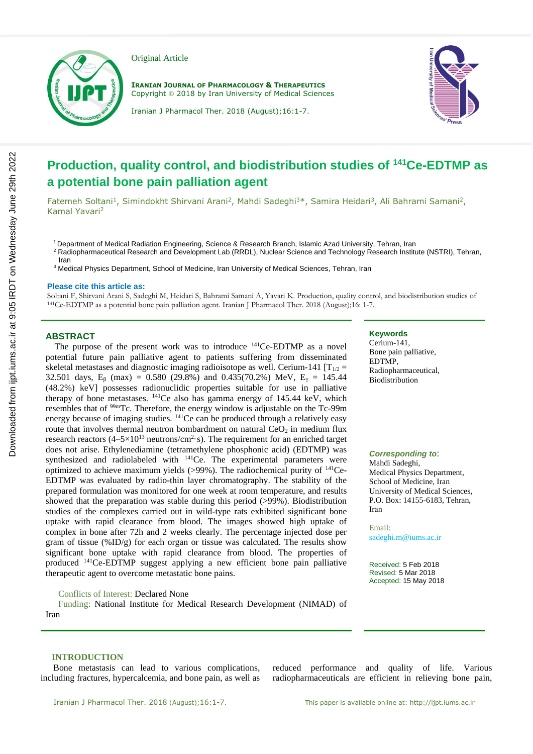

Original Article

**IRANIAN JOURNAL OF PHARMACOLOGY & THERAPEUTICS** Copyright © 2018 by Iran University of Medical Sciences



Iranian J Pharmacol Ther. 2018 (August);16:1-7.

# **Production, quality control, and biodistribution studies of <sup>141</sup>Ce-EDTMP as a potential bone pain palliation agent**

Fatemeh Soltani<sup>1</sup>, Simindokht Shirvani Arani<sup>2</sup>, Mahdi Sadeghi<sup>3\*</sup>, Samira Heidari<sup>3</sup>, Ali Bahrami Samani<sup>2</sup>, Kamal Yavari<sup>2</sup>

<sup>1</sup> Department of Medical Radiation Engineering, Science & Research Branch, Islamic Azad University, Tehran, Iran

- <sup>2</sup> Radiopharmaceutical Research and Development Lab (RRDL), Nuclear Science and Technology Research Institute (NSTRI), Tehran, Iran
- <sup>3</sup> Medical Physics Department, School of Medicine, Iran University of Medical Sciences, Tehran, Iran

#### **Please cite this article as:**

Soltani F, Shirvani Arani S, Sadeghi M, Heidari S, Bahrami Samani A, Yavari K. Production, quality control, and biodistribution studies of <sup>141</sup>Ce-EDTMP as a potential bone pain palliation agent. Iranian J Pharmacol Ther. 2018 (August);16: 1-7.

## **ABSTRACT**

 The purpose of the present work was to introduce <sup>141</sup>Ce-EDTMP as a novel potential future pain palliative agent to patients suffering from disseminated skeletal metastases and diagnostic imaging radioisotope as well. Cerium-141  $[T_{1/2} =$ 32.501 days,  $E_8$  (max) = 0.580 (29.8%) and 0.435(70.2%) MeV,  $E_y$  = 145.44 (48.2%) keV] possesses radionuclidic properties suitable for use in palliative therapy of bone metastases.  $^{141}$ Ce also has gamma energy of 145.44 keV, which resembles that of <sup>99m</sup>Tc. Therefore, the energy window is adjustable on the Tc-99m energy because of imaging studies. <sup>141</sup>Ce can be produced through a relatively easy route that involves thermal neutron bombardment on natural  $CeO<sub>2</sub>$  in medium flux research reactors  $(4-5\times10^{13} \text{ neutrons/cm}^2 \cdot \text{s})$ . The requirement for an enriched target does not arise. Ethylenediamine (tetramethylene phosphonic acid) (EDTMP) was synthesized and radiolabeled with  $^{141}$ Ce. The experimental parameters were optimized to achieve maximum yields  $(>99\%)$ . The radiochemical purity of <sup>141</sup>Ce-EDTMP was evaluated by radio-thin layer chromatography. The stability of the prepared formulation was monitored for one week at room temperature, and results showed that the preparation was stable during this period (>99%). Biodistribution studies of the complexes carried out in wild-type rats exhibited significant bone uptake with rapid clearance from blood. The images showed high uptake of complex in bone after 72h and 2 weeks clearly. The percentage injected dose per gram of tissue  $(\%ID/g)$  for each organ or tissue was calculated. The results show significant bone uptake with rapid clearance from blood. The properties of produced <sup>141</sup>Ce-EDTMP suggest applying a new efficient bone pain palliative therapeutic agent to overcome metastatic bone pains.

## Conflicts of Interest: Declared None

Funding: National Institute for Medical Research Development (NIMAD) of Iran

#### **Keywords**

Cerium-141, Bone pain palliative, EDTMP, Radiopharmaceutical, Biodistribution

#### *Corresponding to*:

Mahdi Sadeghi, Medical Physics Department, School of Medicine, Iran University of Medical Sciences, P.O. Box: 14155-6183, Tehran, Iran

Email: sadeghi.m@iums.ac.ir

Received: 5 Feb 2018 Revised: 5 Mar 2018 Accepted: 15 May 2018

#### **INTRODUCTION**

Bone metastasis can lead to various complications, including fractures, hypercalcemia, and bone pain, as well as reduced performance and quality of life. Various radiopharmaceuticals are efficient in relieving bone pain,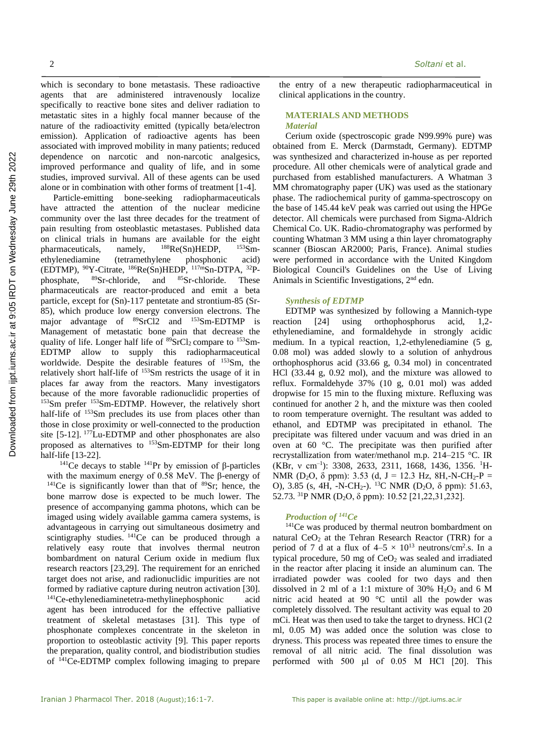which is secondary to bone metastasis. These radioactive agents that are administered intravenously localize specifically to reactive bone sites and deliver radiation to metastatic sites in a highly focal manner because of the nature of the radioactivity emitted (typically beta/electron emission). Application of radioactive agents has been associated with improved mobility in many patients; reduced dependence on narcotic and non-narcotic analgesics, improved performance and quality of life, and in some studies, improved survival. All of these agents can be used alone or in combination with other forms of treatment [1-4].

Particle-emitting bone-seeking radiopharmaceuticals have attracted the attention of the nuclear medicine community over the last three decades for the treatment of pain resulting from osteoblastic metastases. Published data on clinical trials in humans are available for the eight pharmaceuticals, namely,  $^{188}$ Re(Sn)HEDP,  $^{153}$ Smpharmaceuticals, namely,  $^{188}$ Re(Sn)HEDP, ethylenediamine (tetramethylene phosphonic acid) (EDTMP),  $^{90}Y$ -Citrate,  $^{186}Re(Sn)HEDP$ ,  $^{117m}Sn-DTPA$ ,  $^{32}P$ -<br>phosphate,  $^{89}Sr$ -chloride, and  $^{85}Sr$ -chloride. These  $89Sr$ -chloride, and  $85Sr$ -chloride. These pharmaceuticals are reactor-produced and emit a beta particle, except for (Sn)-117 pentetate and strontium-85 (Sr-85), which produce low energy conversion electrons. The major advantage of <sup>89</sup>SrCl2 and <sup>153</sup>Sm-EDTMP is Management of metastatic bone pain that decrease the quality of life. Longer half life of  ${}^{89}SrCl<sub>2</sub>$  compare to  ${}^{153}Sm-$ EDTMP allow to supply this radiopharmaceutical worldwide. Despite the desirable features of <sup>153</sup>Sm, the relatively short half-life of <sup>153</sup>Sm restricts the usage of it in places far away from the reactors. Many investigators because of the more favorable radionuclidic properties of <sup>153</sup>Sm prefer <sup>153</sup>Sm-EDTMP. However, the relatively short half-life of <sup>153</sup>Sm precludes its use from places other than those in close proximity or well-connected to the production site  $[5-12]$ .  $177$ Lu-EDTMP and other phosphonates are also proposed as alternatives to <sup>153</sup>Sm-EDTMP for their long half-life [13-22].

<sup>141</sup>Ce decays to stable <sup>141</sup>Pr by emission of β-particles with the maximum energy of 0.58 MeV. The β-energy of  $141$ Ce is significantly lower than that of  $89$ Sr; hence, the bone marrow dose is expected to be much lower. The presence of accompanying gamma photons, which can be imaged using widely available gamma camera systems, is advantageous in carrying out simultaneous dosimetry and scintigraphy studies.  $^{141}Ce$  can be produced through a relatively easy route that involves thermal neutron bombardment on natural Cerium oxide in medium flux research reactors [23,29]. The requirement for an enriched target does not arise, and radionuclidic impurities are not formed by radiative capture during neutron activation [30]. <sup>141</sup>Ce-ethylenediaminetetra-methylinephosphonic acid agent has been introduced for the effective palliative treatment of skeletal metastases [31]. This type of phosphonate complexes concentrate in the skeleton in proportion to osteoblastic activity [9]. This paper reports the preparation, quality control, and biodistribution studies of <sup>141</sup>Ce-EDTMP complex following imaging to prepare the entry of a new therapeutic radiopharmaceutical in clinical applications in the country.

## **MATERIALS AND METHODS** *Material*

Cerium oxide (spectroscopic grade N99.99% pure) was obtained from E. Merck (Darmstadt, Germany). EDTMP was synthesized and characterized in-house as per reported procedure. All other chemicals were of analytical grade and purchased from established manufacturers. A Whatman 3 MM chromatography paper (UK) was used as the stationary phase. The radiochemical purity of gamma-spectroscopy on the base of 145.44 keV peak was carried out using the HPGe detector. All chemicals were purchased from Sigma-Aldrich Chemical Co. UK. Radio-chromatography was performed by counting Whatman 3 MM using a thin layer chromatography scanner (Bioscan AR2000; Paris, France). Animal studies were performed in accordance with the United Kingdom Biological Council's Guidelines on the Use of Living Animals in Scientific Investigations, 2nd edn.

#### *Synthesis of EDTMP*

EDTMP was synthesized by following a Mannich-type reaction [24] using orthophosphorus acid, 1,2 ethylenediamine, and formaldehyde in strongly acidic medium. In a typical reaction, 1,2-ethylenediamine (5 g, 0.08 mol) was added slowly to a solution of anhydrous orthophosphorus acid (33.66 g, 0.34 mol) in concentrated HCl (33.44 g, 0.92 mol), and the mixture was allowed to reflux. Formaldehyde 37% (10 g, 0.01 mol) was added dropwise for 15 min to the fluxing mixture. Refluxing was continued for another 2 h, and the mixture was then cooled to room temperature overnight. The resultant was added to ethanol, and EDTMP was precipitated in ethanol. The precipitate was filtered under vacuum and was dried in an oven at 60 °C. The precipitate was then purified after recrystallization from water/methanol m.p. 214–215 °C. IR (KBr, v cm<sup>-1</sup>): 3308, 2633, 2311, 1668, 1436, 1356. <sup>1</sup>H-NMR (D<sub>2</sub>O,  $\delta$  ppm): 3.53 (d, J = 12.3 Hz, 8H,-N-CH<sub>2</sub>-P = O), 3.85 (s, 4H, -N-CH<sub>2</sub>-). <sup>13</sup>C NMR (D<sub>2</sub>O,  $\delta$  ppm): 51.63, 52.73. <sup>31</sup>P NMR (D2O, δ ppm): 10.52 [21,22,31,232].

# *Production of <sup>141</sup>Ce*

<sup>141</sup>Ce was produced by thermal neutron bombardment on natural  $CeO<sub>2</sub>$  at the Tehran Research Reactor (TRR) for a period of 7 d at a flux of  $4-5 \times 10^{13}$  neutrons/cm<sup>2</sup>.s. In a typical procedure, 50 mg of  $CeO<sub>2</sub>$  was sealed and irradiated in the reactor after placing it inside an aluminum can. The irradiated powder was cooled for two days and then dissolved in 2 ml of a 1:1 mixture of 30%  $H<sub>2</sub>O<sub>2</sub>$  and 6 M nitric acid heated at 90 °C until all the powder was completely dissolved. The resultant activity was equal to 20 mCi. Heat was then used to take the target to dryness. HCl (2 ml, 0.05 M) was added once the solution was close to dryness. This process was repeated three times to ensure the removal of all nitric acid. The final dissolution was performed with 500 μl of 0.05 M HCl [20]. This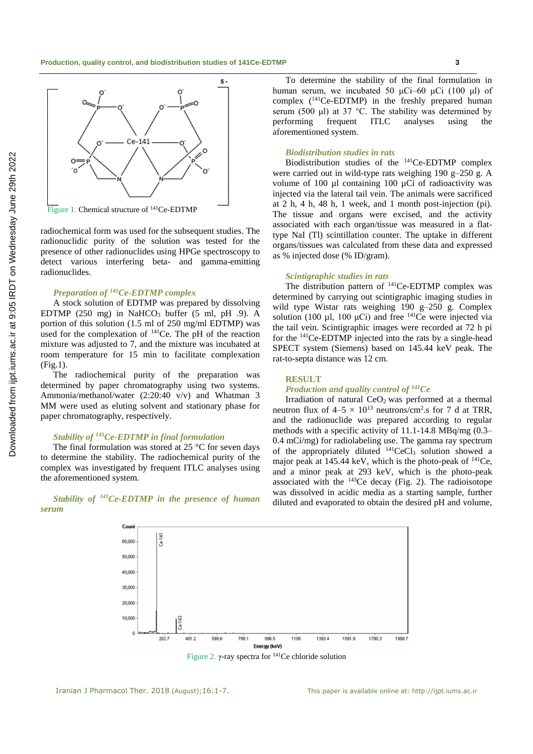

Figure 1. Chemical structure of <sup>141</sup>Ce-EDTMP

radiochemical form was used for the subsequent studies. The radionuclidic purity of the solution was tested for the presence of other radionuclides using HPGe spectroscopy to detect various interfering beta- and gamma-emitting radionuclides.

## *Preparation of <sup>141</sup>Ce-EDTMP complex*

A stock solution of EDTMP was prepared by dissolving EDTMP (250 mg) in NaHCO<sub>3</sub> buffer (5 ml, pH .9). A portion of this solution (1.5 ml of 250 mg/ml EDTMP) was used for the complexation of  $141$ Ce. The pH of the reaction mixture was adjusted to 7, and the mixture was incubated at room temperature for 15 min to facilitate complexation (Fig.1).

The radiochemical purity of the preparation was determined by paper chromatography using two systems. Ammonia/methanol/water (2:20:40 v/v) and Whatman 3 MM were used as eluting solvent and stationary phase for paper chromatography, respectively.

# *Stability of <sup>141</sup>Ce-EDTMP in final formulation*

Coun

60,000 50,000 40,000 30,000 20,000 10,00

The final formulation was stored at 25 °C for seven days to determine the stability. The radiochemical purity of the complex was investigated by frequent ITLC analyses using the aforementioned system.

*Stability of <sup>141</sup>Ce-EDTMP in the presence of human serum*

Ce-141

To determine the stability of the final formulation in human serum, we incubated 50 μCi–60 μCi (100 μl) of complex  $(^{141}Ce$ -EDTMP) in the freshly prepared human serum (500 μl) at 37 °C. The stability was determined by performing frequent ITLC analyses using the aforementioned system.

#### *Biodistribution studies in rats*

Biodistribution studies of the <sup>141</sup>Ce-EDTMP complex were carried out in wild-type rats weighing 190 g–250 g. A volume of 100 ul containing 100 uCi of radioactivity was injected via the lateral tail vein. The animals were sacrificed at 2 h, 4 h, 48 h, 1 week, and 1 month post-injection (pi). The tissue and organs were excised, and the activity associated with each organ/tissue was measured in a flattype NaI (Tl) scintillation counter. The uptake in different organs/tissues was calculated from these data and expressed as % injected dose (% ID/gram).

#### *Scintigraphic studies in rats*

The distribution pattern of <sup>141</sup>Ce-EDTMP complex was determined by carrying out scintigraphic imaging studies in wild type Wistar rats weighing 190 g–250 g. Complex solution (100  $\mu$ l, 100  $\mu$ Ci) and free <sup>141</sup>Ce were injected via the tail vein. Scintigraphic images were recorded at 72 h pi for the <sup>141</sup>Ce-EDTMP injected into the rats by a single-head SPECT system (Siemens) based on 145.44 keV peak. The rat-to-septa distance was 12 cm.

## **RESULT**

Figure 2. γ-ray spectra for <sup>141</sup>Ce chloride solution

996.5

Energy (keV)

1393.4

1195

1591.9

1790.3

## *Production and quality control of <sup>141</sup>Ce*

Irradiation of natural  $CeO<sub>2</sub>$  was performed at a thermal neutron flux of  $4-5 \times 10^{13}$  neutrons/cm<sup>2</sup>.s for 7 d at TRR, and the radionuclide was prepared according to regular methods with a specific activity of 11.1-14.8 MBq/mg (0.3– 0.4 mCi/mg) for radiolabeling use. The gamma ray spectrum of the appropriately diluted  $^{141}$ CeCl<sub>3</sub> solution showed a major peak at 145.44 keV, which is the photo-peak of <sup>141</sup>Ce, and a minor peak at 293 keV, which is the photo-peak associated with the  $^{143}$ Ce decay (Fig. 2). The radioisotope was dissolved in acidic media as a starting sample, further diluted and evaporated to obtain the desired pH and volume,



 $401.2$ 

599.6

1988.7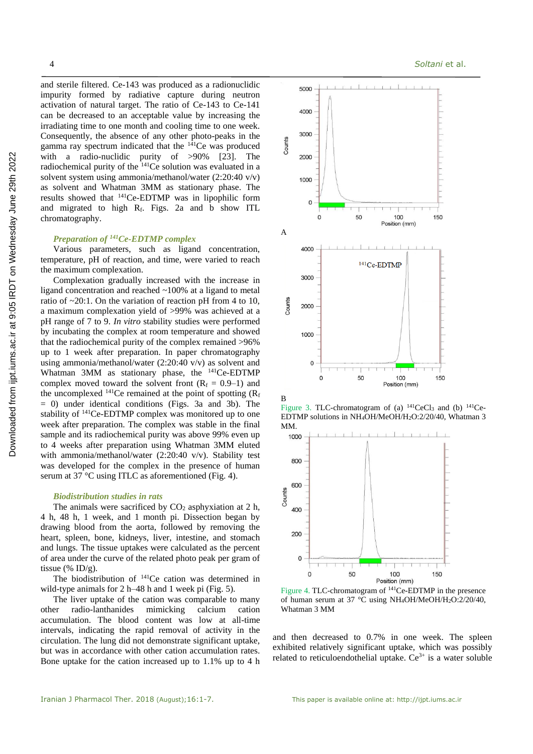and sterile filtered. Ce-143 was produced as a radionuclidic impurity formed by radiative capture during neutron activation of natural target. The ratio of Ce-143 to Ce-141 can be decreased to an acceptable value by increasing the irradiating time to one month and cooling time to one week. Consequently, the absence of any other photo-peaks in the gamma ray spectrum indicated that the  $141$ Ce was produced with a radio-nuclidic purity of >90% [23]. The radiochemical purity of the <sup>141</sup>Ce solution was evaluated in a solvent system using ammonia/methanol/water (2:20:40 v/v) as solvent and Whatman 3MM as stationary phase. The results showed that <sup>141</sup>Ce-EDTMP was in lipophilic form and migrated to high Rf. Figs. 2a and b show ITL chromatography.

# *Preparation of <sup>141</sup>Ce-EDTMP complex*

Various parameters, such as ligand concentration, temperature, pH of reaction, and time, were varied to reach the maximum complexation.

Complexation gradually increased with the increase in ligand concentration and reached ~100% at a ligand to metal ratio of  $\sim 20:1$ . On the variation of reaction pH from 4 to 10, a maximum complexation yield of >99% was achieved at a pH range of 7 to 9. *In vitro* stability studies were performed by incubating the complex at room temperature and showed that the radiochemical purity of the complex remained >96% up to 1 week after preparation. In paper chromatography using ammonia/methanol/water (2:20:40 v/v) as solvent and Whatman 3MM as stationary phase, the <sup>141</sup>Ce-EDTMP complex moved toward the solvent front  $(R_f = 0.9-1)$  and the uncomplexed  $^{141}$ Ce remained at the point of spotting ( $R_f$ ) = 0) under identical conditions (Figs. 3a and 3b). The stability of <sup>141</sup>Ce-EDTMP complex was monitored up to one week after preparation. The complex was stable in the final sample and its radiochemical purity was above 99% even up to 4 weeks after preparation using Whatman 3MM eluted with ammonia/methanol/water (2:20:40 v/v). Stability test was developed for the complex in the presence of human serum at 37 °C using ITLC as aforementioned (Fig. 4).

#### *Biodistribution studies in rats*

The animals were sacrificed by  $CO<sub>2</sub>$  asphyxiation at 2 h, 4 h, 48 h, 1 week, and 1 month pi. Dissection began by drawing blood from the aorta, followed by removing the heart, spleen, bone, kidneys, liver, intestine, and stomach and lungs. The tissue uptakes were calculated as the percent of area under the curve of the related photo peak per gram of tissue (% ID/g).

The biodistribution of <sup>141</sup>Ce cation was determined in wild-type animals for 2 h–48 h and 1 week pi (Fig. 5).

The liver uptake of the cation was comparable to many other radio-lanthanides mimicking calcium cation accumulation. The blood content was low at all-time intervals, indicating the rapid removal of activity in the circulation. The lung did not demonstrate significant uptake, but was in accordance with other cation accumulation rates. Bone uptake for the cation increased up to 1.1% up to 4 h



Figure 3. TLC-chromatogram of (a)  $^{141}$ CeCl<sub>3</sub> and (b)  $^{141}$ Ce-EDTMP solutions in NH4OH/MeOH/H2O:2/20/40, Whatman 3 MM.



Figure 4. TLC-chromatogram of <sup>141</sup>Ce-EDTMP in the presence of human serum at 37 °C using NH4OH/MeOH/H2O:2/20/40, Whatman 3 MM

and then decreased to 0.7% in one week. The spleen exhibited relatively significant uptake, which was possibly related to reticuloendothelial uptake.  $Ce^{3+}$  is a water soluble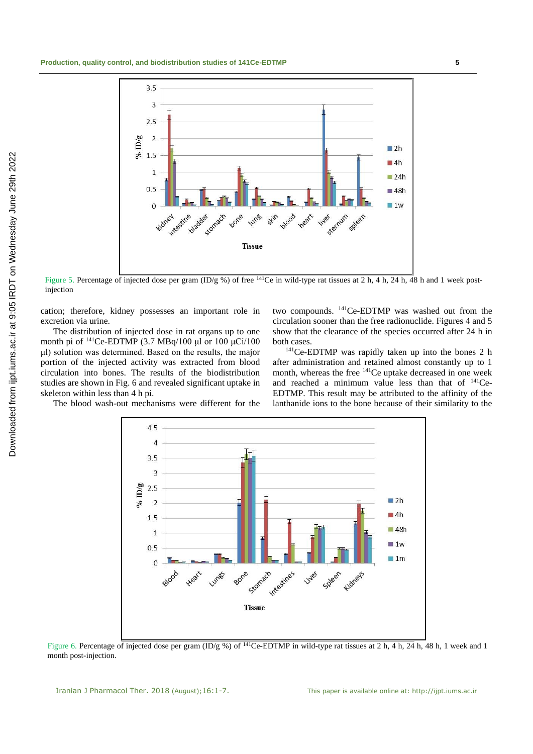

Figure 5. Percentage of injected dose per gram (ID/g %) of free <sup>141</sup>Ce in wild-type rat tissues at 2 h, 4 h, 24 h, 48 h and 1 week postinjection

cation; therefore, kidney possesses an important role in excretion via urine.

The distribution of injected dose in rat organs up to one month pi of  $^{141}$ Ce-EDTMP (3.7 MBq/100 μl or 100 μCi/100 μl) solution was determined. Based on the results, the major portion of the injected activity was extracted from blood circulation into bones. The results of the biodistribution studies are shown in Fig. 6 and revealed significant uptake in skeleton within less than 4 h pi.

two compounds. <sup>141</sup>Ce-EDTMP was washed out from the circulation sooner than the free radionuclide. Figures 4 and 5 show that the clearance of the species occurred after 24 h in both cases.

<sup>141</sup>Ce-EDTMP was rapidly taken up into the bones 2 h after administration and retained almost constantly up to 1 month, whereas the free <sup>141</sup>Ce uptake decreased in one week and reached a minimum value less than that of 141Ce-EDTMP. This result may be attributed to the affinity of the lanthanide ions to the bone because of their similarity to the

The blood wash-out mechanisms were different for the



Figure 6. Percentage of injected dose per gram (ID/g %) of <sup>141</sup>Ce-EDTMP in wild-type rat tissues at 2 h, 4 h, 24 h, 48 h, 1 week and 1 month post-injection.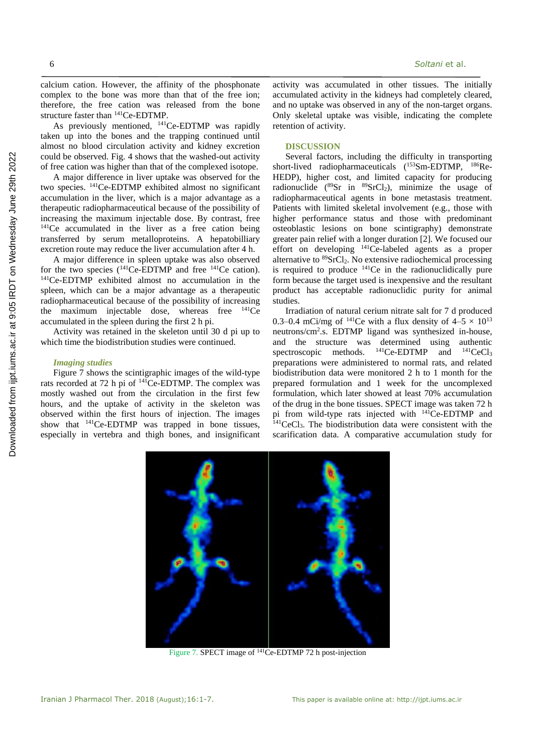6 *Soltani* et al.

calcium cation. However, the affinity of the phosphonate complex to the bone was more than that of the free ion; therefore, the free cation was released from the bone structure faster than <sup>141</sup>Ce-EDTMP.

As previously mentioned, <sup>141</sup>Ce-EDTMP was rapidly taken up into the bones and the trapping continued until almost no blood circulation activity and kidney excretion could be observed. Fig. 4 shows that the washed-out activity of free cation was higher than that of the complexed isotope.

A major difference in liver uptake was observed for the two species. <sup>141</sup>Ce-EDTMP exhibited almost no significant accumulation in the liver, which is a major advantage as a therapeutic radiopharmaceutical because of the possibility of increasing the maximum injectable dose. By contrast, free <sup>141</sup>Ce accumulated in the liver as a free cation being transferred by serum metalloproteins. A hepatobilliary excretion route may reduce the liver accumulation after 4 h.

A major difference in spleen uptake was also observed for the two species  $(141Ce-EDTMP)$  and free  $141Ce$  cation). <sup>141</sup>Ce-EDTMP exhibited almost no accumulation in the spleen, which can be a major advantage as a therapeutic radiopharmaceutical because of the possibility of increasing the maximum injectable dose, whereas free  $^{141}Ce$ accumulated in the spleen during the first 2 h pi.

Activity was retained in the skeleton until 30 d pi up to which time the biodistribution studies were continued.

#### *Imaging studies*

Figure 7 shows the scintigraphic images of the wild-type rats recorded at 72 h pi of <sup>141</sup>Ce-EDTMP. The complex was mostly washed out from the circulation in the first few hours, and the uptake of activity in the skeleton was observed within the first hours of injection. The images show that  $^{141}$ Ce-EDTMP was trapped in bone tissues, especially in vertebra and thigh bones, and insignificant activity was accumulated in other tissues. The initially accumulated activity in the kidneys had completely cleared, and no uptake was observed in any of the non-target organs. Only skeletal uptake was visible, indicating the complete retention of activity.

#### **DISCUSSION**

Several factors, including the difficulty in transporting short-lived radiopharmaceuticals (<sup>153</sup>Sm-EDTMP, <sup>186</sup>Re-HEDP), higher cost, and limited capacity for producing radionuclide ( $^{89}Sr$  in  $^{89}SrCl<sub>2</sub>$ ), minimize the usage of radiopharmaceutical agents in bone metastasis treatment. Patients with limited skeletal involvement (e.g., those with higher performance status and those with predominant osteoblastic lesions on bone scintigraphy) demonstrate greater pain relief with a longer duration [2]. We focused our effort on developing <sup>141</sup>Ce-labeled agents as a proper alternative to  ${}^{89}$ SrCl<sub>2</sub>. No extensive radiochemical processing is required to produce  $141$ Ce in the radionuclidically pure form because the target used is inexpensive and the resultant product has acceptable radionuclidic purity for animal studies.

Irradiation of natural cerium nitrate salt for 7 d produced 0.3–0.4 mCi/mg of <sup>141</sup>Ce with a flux density of  $4-5 \times 10^{13}$ neutrons/cm<sup>2</sup> .s. EDTMP ligand was synthesized in-house, and the structure was determined using authentic spectroscopic methods. <sup>141</sup>Ce-EDTMP and <sup>141</sup>CeCl<sub>3</sub> preparations were administered to normal rats, and related biodistribution data were monitored 2 h to 1 month for the prepared formulation and 1 week for the uncomplexed formulation, which later showed at least 70% accumulation of the drug in the bone tissues. SPECT image was taken 72 h pi from wild-type rats injected with <sup>141</sup>Ce-EDTMP and  $141$ CeCl<sub>3</sub>. The biodistribution data were consistent with the scarification data. A comparative accumulation study for



Figure 7. SPECT image of <sup>141</sup>Ce-EDTMP 72 h post-injection